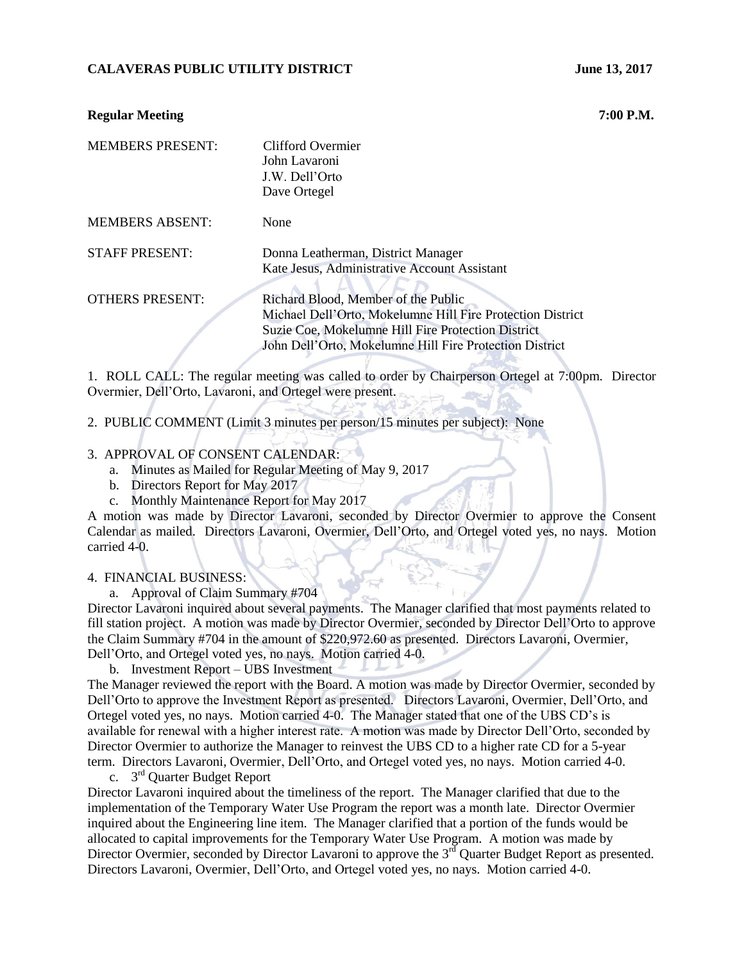# **CALAVERAS PUBLIC UTILITY DISTRICT MEASUREM AND MODEL 13, 2017**

# **Regular Meeting 7:00 P.M.**

| <b>MEMBERS PRESENT:</b> | Clifford Overmier<br>John Lavaroni<br>J.W. Dell'Orto<br>Dave Ortegel                                                                                                                                               |
|-------------------------|--------------------------------------------------------------------------------------------------------------------------------------------------------------------------------------------------------------------|
| <b>MEMBERS ABSENT:</b>  | None                                                                                                                                                                                                               |
| <b>STAFF PRESENT:</b>   | Donna Leatherman, District Manager<br>Kate Jesus, Administrative Account Assistant                                                                                                                                 |
| <b>OTHERS PRESENT:</b>  | Richard Blood, Member of the Public<br>Michael Dell'Orto, Mokelumne Hill Fire Protection District<br>Suzie Coe, Mokelumne Hill Fire Protection District<br>John Dell'Orto, Mokelumne Hill Fire Protection District |

1. ROLL CALL: The regular meeting was called to order by Chairperson Ortegel at 7:00pm. Director Overmier, Dell'Orto, Lavaroni, and Ortegel were present.

2. PUBLIC COMMENT (Limit 3 minutes per person/15 minutes per subject): None

# 3. APPROVAL OF CONSENT CALENDAR:

- a. Minutes as Mailed for Regular Meeting of May 9, 2017
- b. Directors Report for May 2017
- c. Monthly Maintenance Report for May 2017

A motion was made by Director Lavaroni, seconded by Director Overmier to approve the Consent Calendar as mailed. Directors Lavaroni, Overmier, Dell'Orto, and Ortegel voted yes, no nays. Motion carried 4-0.

#### 4. FINANCIAL BUSINESS:

a. Approval of Claim Summary #704

Director Lavaroni inquired about several payments. The Manager clarified that most payments related to fill station project. A motion was made by Director Overmier, seconded by Director Dell'Orto to approve the Claim Summary #704 in the amount of \$220,972.60 as presented. Directors Lavaroni, Overmier, Dell'Orto, and Ortegel voted yes, no nays. Motion carried 4-0.

b. Investment Report – UBS Investment

The Manager reviewed the report with the Board. A motion was made by Director Overmier, seconded by Dell'Orto to approve the Investment Report as presented. Directors Lavaroni, Overmier, Dell'Orto, and Ortegel voted yes, no nays. Motion carried 4-0. The Manager stated that one of the UBS CD's is available for renewal with a higher interest rate. A motion was made by Director Dell'Orto, seconded by Director Overmier to authorize the Manager to reinvest the UBS CD to a higher rate CD for a 5-year term. Directors Lavaroni, Overmier, Dell'Orto, and Ortegel voted yes, no nays. Motion carried 4-0.

c. 3<sup>rd</sup> Quarter Budget Report

Director Lavaroni inquired about the timeliness of the report. The Manager clarified that due to the implementation of the Temporary Water Use Program the report was a month late. Director Overmier inquired about the Engineering line item. The Manager clarified that a portion of the funds would be allocated to capital improvements for the Temporary Water Use Program. A motion was made by Director Overmier, seconded by Director Lavaroni to approve the 3<sup>rd</sup> Quarter Budget Report as presented. Directors Lavaroni, Overmier, Dell'Orto, and Ortegel voted yes, no nays. Motion carried 4-0.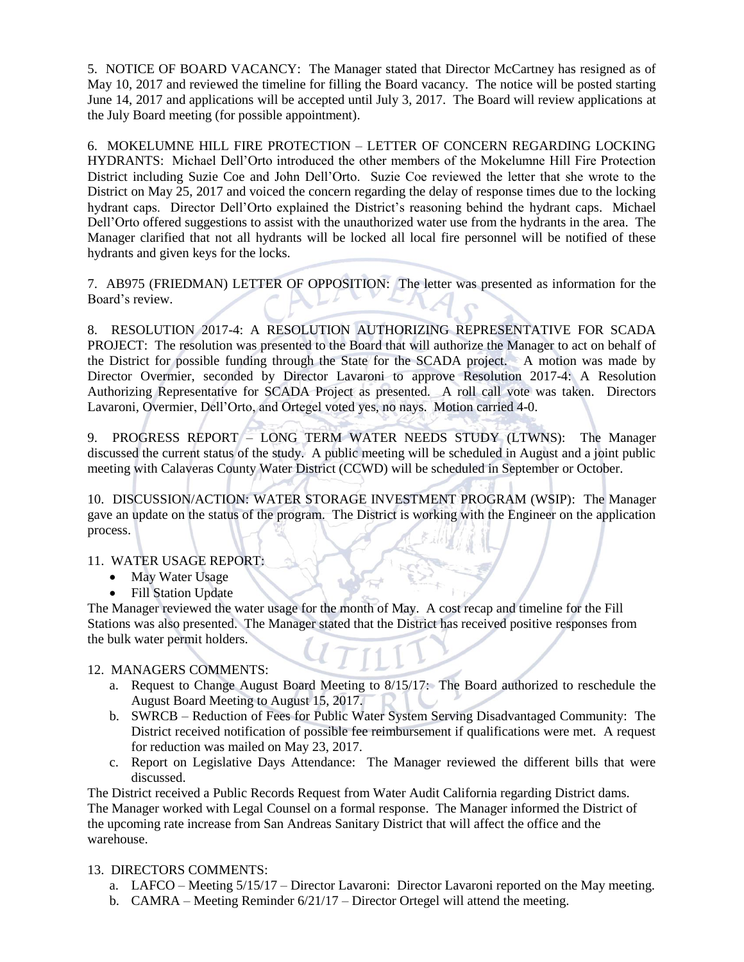5. NOTICE OF BOARD VACANCY: The Manager stated that Director McCartney has resigned as of May 10, 2017 and reviewed the timeline for filling the Board vacancy. The notice will be posted starting June 14, 2017 and applications will be accepted until July 3, 2017. The Board will review applications at the July Board meeting (for possible appointment).

6. MOKELUMNE HILL FIRE PROTECTION – LETTER OF CONCERN REGARDING LOCKING HYDRANTS: Michael Dell'Orto introduced the other members of the Mokelumne Hill Fire Protection District including Suzie Coe and John Dell'Orto. Suzie Coe reviewed the letter that she wrote to the District on May 25, 2017 and voiced the concern regarding the delay of response times due to the locking hydrant caps. Director Dell'Orto explained the District's reasoning behind the hydrant caps. Michael Dell'Orto offered suggestions to assist with the unauthorized water use from the hydrants in the area. The Manager clarified that not all hydrants will be locked all local fire personnel will be notified of these hydrants and given keys for the locks.

7. AB975 (FRIEDMAN) LETTER OF OPPOSITION: The letter was presented as information for the Board's review.

8. RESOLUTION 2017-4: A RESOLUTION AUTHORIZING REPRESENTATIVE FOR SCADA PROJECT: The resolution was presented to the Board that will authorize the Manager to act on behalf of the District for possible funding through the State for the SCADA project. A motion was made by Director Overmier, seconded by Director Lavaroni to approve Resolution 2017-4: A Resolution Authorizing Representative for SCADA Project as presented. A roll call vote was taken. Directors Lavaroni, Overmier, Dell'Orto, and Ortegel voted yes, no nays. Motion carried 4-0.

9. PROGRESS REPORT – LONG TERM WATER NEEDS STUDY (LTWNS): The Manager discussed the current status of the study. A public meeting will be scheduled in August and a joint public meeting with Calaveras County Water District (CCWD) will be scheduled in September or October.

10. DISCUSSION/ACTION: WATER STORAGE INVESTMENT PROGRAM (WSIP): The Manager gave an update on the status of the program. The District is working with the Engineer on the application process.

### 11. WATER USAGE REPORT:

- May Water Usage
- Fill Station Update

The Manager reviewed the water usage for the month of May. A cost recap and timeline for the Fill Stations was also presented. The Manager stated that the District has received positive responses from the bulk water permit holders.

### 12. MANAGERS COMMENTS:

- a. Request to Change August Board Meeting to 8/15/17: The Board authorized to reschedule the August Board Meeting to August 15, 2017.
- b. SWRCB Reduction of Fees for Public Water System Serving Disadvantaged Community: The District received notification of possible fee reimbursement if qualifications were met. A request for reduction was mailed on May 23, 2017.
- c. Report on Legislative Days Attendance: The Manager reviewed the different bills that were discussed.

The District received a Public Records Request from Water Audit California regarding District dams. The Manager worked with Legal Counsel on a formal response. The Manager informed the District of the upcoming rate increase from San Andreas Sanitary District that will affect the office and the warehouse.

# 13. DIRECTORS COMMENTS:

- a. LAFCO Meeting 5/15/17 Director Lavaroni: Director Lavaroni reported on the May meeting.
- b.  $CAMRA Meeting$  Reminder  $6/21/17 Director$  Ortegel will attend the meeting.